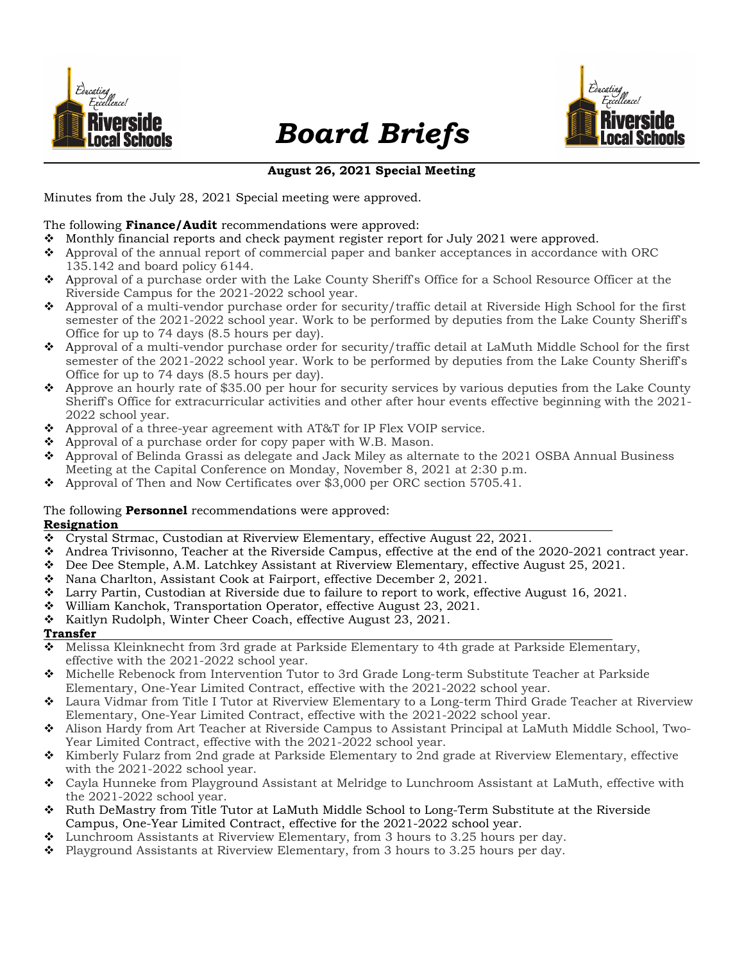

# Board Briefs



# August 26, 2021 Special Meeting

Minutes from the July 28, 2021 Special meeting were approved.

### The following **Finance/Audit** recommendations were approved:

- Monthly financial reports and check payment register report for July 2021 were approved.
- Approval of the annual report of commercial paper and banker acceptances in accordance with ORC 135.142 and board policy 6144.
- Approval of a purchase order with the Lake County Sheriff's Office for a School Resource Officer at the Riverside Campus for the 2021-2022 school year.
- Approval of a multi-vendor purchase order for security/traffic detail at Riverside High School for the first semester of the 2021-2022 school year. Work to be performed by deputies from the Lake County Sheriff's Office for up to 74 days (8.5 hours per day).
- Approval of a multi-vendor purchase order for security/traffic detail at LaMuth Middle School for the first semester of the 2021-2022 school year. Work to be performed by deputies from the Lake County Sheriff's Office for up to 74 days (8.5 hours per day).
- Approve an hourly rate of \$35.00 per hour for security services by various deputies from the Lake County Sheriff's Office for extracurricular activities and other after hour events effective beginning with the 2021- 2022 school year.
- $\triangle$  Approval of a three-year agreement with AT&T for IP Flex VOIP service.
- $\triangle$  Approval of a purchase order for copy paper with W.B. Mason.
- Approval of Belinda Grassi as delegate and Jack Miley as alternate to the 2021 OSBA Annual Business Meeting at the Capital Conference on Monday, November 8, 2021 at 2:30 p.m.
- Approval of Then and Now Certificates over \$3,000 per ORC section 5705.41.

#### The following **Personnel** recommendations were approved: Resignation

- Crystal Strmac, Custodian at Riverview Elementary, effective August 22, 2021.
- Andrea Trivisonno, Teacher at the Riverside Campus, effective at the end of the 2020-2021 contract year.
- Dee Dee Stemple, A.M. Latchkey Assistant at Riverview Elementary, effective August 25, 2021.
- Nana Charlton, Assistant Cook at Fairport, effective December 2, 2021.
- Larry Partin, Custodian at Riverside due to failure to report to work, effective August 16, 2021.
- William Kanchok, Transportation Operator, effective August 23, 2021.
- \* Kaitlyn Rudolph, Winter Cheer Coach, effective August 23, 2021.

#### Transfer

- Melissa Kleinknecht from 3rd grade at Parkside Elementary to 4th grade at Parkside Elementary, effective with the 2021-2022 school year.
- Michelle Rebenock from Intervention Tutor to 3rd Grade Long-term Substitute Teacher at Parkside Elementary, One-Year Limited Contract, effective with the 2021-2022 school year.
- Laura Vidmar from Title I Tutor at Riverview Elementary to a Long-term Third Grade Teacher at Riverview Elementary, One-Year Limited Contract, effective with the 2021-2022 school year.
- Alison Hardy from Art Teacher at Riverside Campus to Assistant Principal at LaMuth Middle School, Two-Year Limited Contract, effective with the 2021-2022 school year.
- \* Kimberly Fularz from 2nd grade at Parkside Elementary to 2nd grade at Riverview Elementary, effective with the 2021-2022 school year.
- Cayla Hunneke from Playground Assistant at Melridge to Lunchroom Assistant at LaMuth, effective with the 2021-2022 school year.
- Ruth DeMastry from Title Tutor at LaMuth Middle School to Long-Term Substitute at the Riverside Campus, One-Year Limited Contract, effective for the 2021-2022 school year.
- Lunchroom Assistants at Riverview Elementary, from 3 hours to 3.25 hours per day.
- Playground Assistants at Riverview Elementary, from 3 hours to 3.25 hours per day.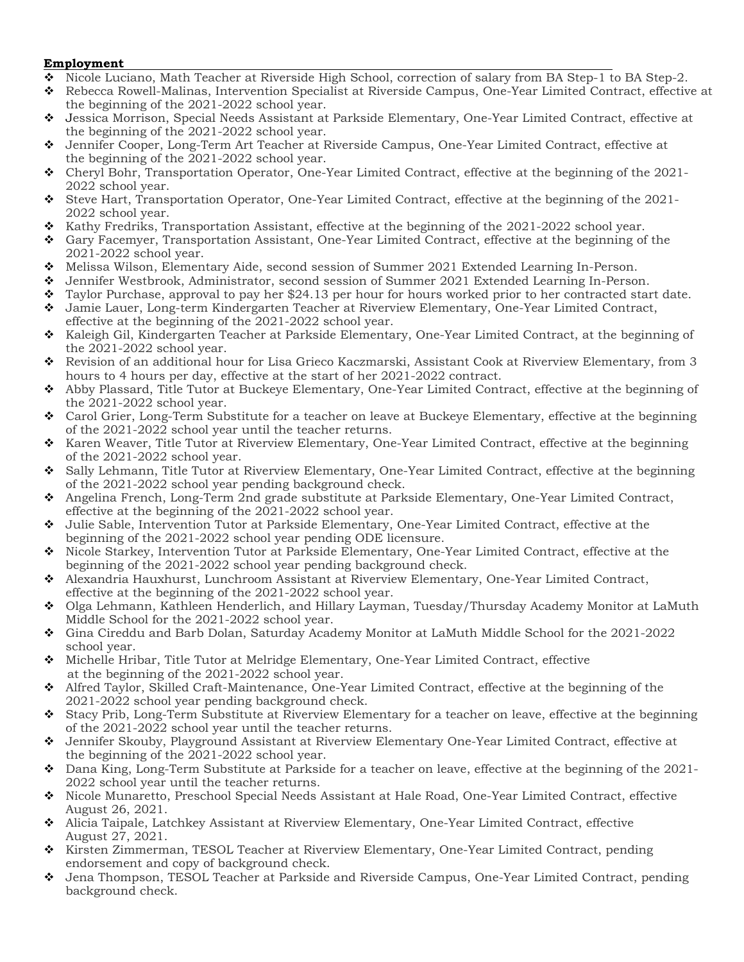# Employment

- Nicole Luciano, Math Teacher at Riverside High School, correction of salary from BA Step-1 to BA Step-2.
- Rebecca Rowell-Malinas, Intervention Specialist at Riverside Campus, One-Year Limited Contract, effective at the beginning of the 2021-2022 school year.
- Jessica Morrison, Special Needs Assistant at Parkside Elementary, One-Year Limited Contract, effective at the beginning of the 2021-2022 school year.
- Jennifer Cooper, Long-Term Art Teacher at Riverside Campus, One-Year Limited Contract, effective at the beginning of the 2021-2022 school year.
- Cheryl Bohr, Transportation Operator, One-Year Limited Contract, effective at the beginning of the 2021- 2022 school year.
- Steve Hart, Transportation Operator, One-Year Limited Contract, effective at the beginning of the 2021- 2022 school year.
- $\bullet$  Kathy Fredriks, Transportation Assistant, effective at the beginning of the 2021-2022 school year.
- Gary Facemyer, Transportation Assistant, One-Year Limited Contract, effective at the beginning of the 2021-2022 school year.
- Melissa Wilson, Elementary Aide, second session of Summer 2021 Extended Learning In-Person.
- Jennifer Westbrook, Administrator, second session of Summer 2021 Extended Learning In-Person.
- $\bullet$  Taylor Purchase, approval to pay her \$24.13 per hour for hours worked prior to her contracted start date. Jamie Lauer, Long-term Kindergarten Teacher at Riverview Elementary, One-Year Limited Contract,
- effective at the beginning of the 2021-2022 school year.
- Kaleigh Gil, Kindergarten Teacher at Parkside Elementary, One-Year Limited Contract, at the beginning of the 2021-2022 school year.
- Revision of an additional hour for Lisa Grieco Kaczmarski, Assistant Cook at Riverview Elementary, from 3 hours to 4 hours per day, effective at the start of her 2021-2022 contract.
- Abby Plassard, Title Tutor at Buckeye Elementary, One-Year Limited Contract, effective at the beginning of the 2021-2022 school year.
- Carol Grier, Long-Term Substitute for a teacher on leave at Buckeye Elementary, effective at the beginning of the 2021-2022 school year until the teacher returns.
- \* Karen Weaver, Title Tutor at Riverview Elementary, One-Year Limited Contract, effective at the beginning of the 2021-2022 school year.
- Sally Lehmann, Title Tutor at Riverview Elementary, One-Year Limited Contract, effective at the beginning of the 2021-2022 school year pending background check.
- Angelina French, Long-Term 2nd grade substitute at Parkside Elementary, One-Year Limited Contract, effective at the beginning of the 2021-2022 school year.
- Julie Sable, Intervention Tutor at Parkside Elementary, One-Year Limited Contract, effective at the beginning of the 2021-2022 school year pending ODE licensure.
- Nicole Starkey, Intervention Tutor at Parkside Elementary, One-Year Limited Contract, effective at the beginning of the 2021-2022 school year pending background check.
- Alexandria Hauxhurst, Lunchroom Assistant at Riverview Elementary, One-Year Limited Contract, effective at the beginning of the 2021-2022 school year.
- Olga Lehmann, Kathleen Henderlich, and Hillary Layman, Tuesday/Thursday Academy Monitor at LaMuth Middle School for the 2021-2022 school year.
- Gina Cireddu and Barb Dolan, Saturday Academy Monitor at LaMuth Middle School for the 2021-2022 school year.
- Michelle Hribar, Title Tutor at Melridge Elementary, One-Year Limited Contract, effective at the beginning of the 2021-2022 school year.
- Alfred Taylor, Skilled Craft-Maintenance, One-Year Limited Contract, effective at the beginning of the 2021-2022 school year pending background check.
- Stacy Prib, Long-Term Substitute at Riverview Elementary for a teacher on leave, effective at the beginning of the 2021-2022 school year until the teacher returns.
- Jennifer Skouby, Playground Assistant at Riverview Elementary One-Year Limited Contract, effective at the beginning of the 2021-2022 school year.
- Dana King, Long-Term Substitute at Parkside for a teacher on leave, effective at the beginning of the 2021- 2022 school year until the teacher returns.
- Nicole Munaretto, Preschool Special Needs Assistant at Hale Road, One-Year Limited Contract, effective August 26, 2021.
- Alicia Taipale, Latchkey Assistant at Riverview Elementary, One-Year Limited Contract, effective August 27, 2021.
- Kirsten Zimmerman, TESOL Teacher at Riverview Elementary, One-Year Limited Contract, pending endorsement and copy of background check.
- Jena Thompson, TESOL Teacher at Parkside and Riverside Campus, One-Year Limited Contract, pending background check.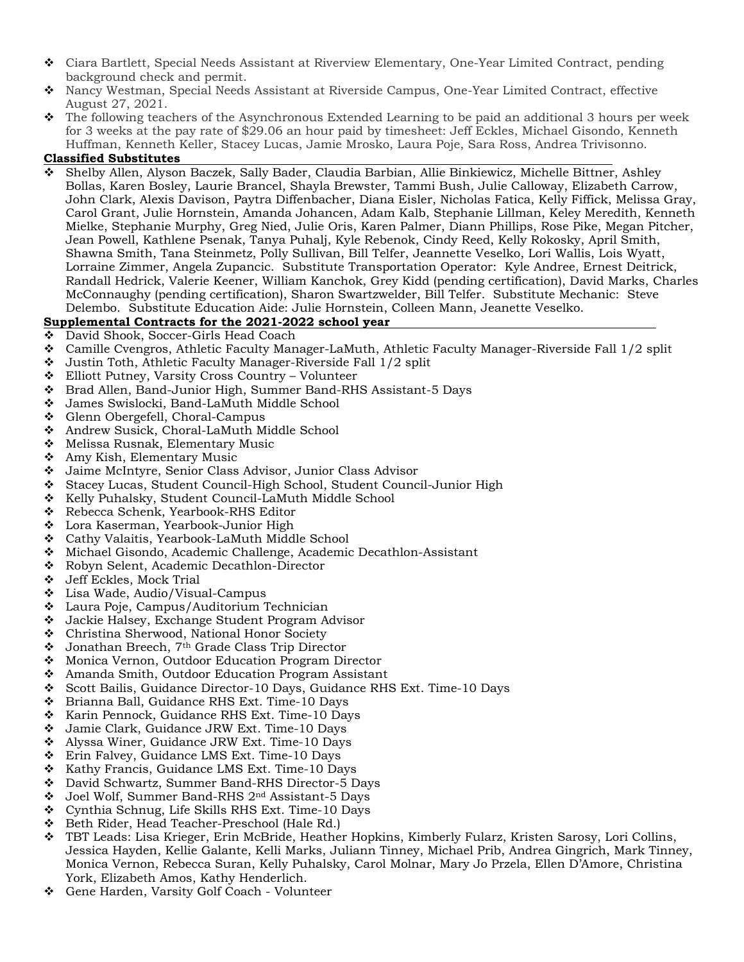- Ciara Bartlett, Special Needs Assistant at Riverview Elementary, One-Year Limited Contract, pending background check and permit.
- Nancy Westman, Special Needs Assistant at Riverside Campus, One-Year Limited Contract, effective August 27, 2021.
- The following teachers of the Asynchronous Extended Learning to be paid an additional 3 hours per week for 3 weeks at the pay rate of \$29.06 an hour paid by timesheet: Jeff Eckles, Michael Gisondo, Kenneth Huffman, Kenneth Keller, Stacey Lucas, Jamie Mrosko, Laura Poje, Sara Ross, Andrea Trivisonno.

#### Classified Substitutes

 Shelby Allen, Alyson Baczek, Sally Bader, Claudia Barbian, Allie Binkiewicz, Michelle Bittner, Ashley Bollas, Karen Bosley, Laurie Brancel, Shayla Brewster, Tammi Bush, Julie Calloway, Elizabeth Carrow, John Clark, Alexis Davison, Paytra Diffenbacher, Diana Eisler, Nicholas Fatica, Kelly Fiffick, Melissa Gray, Carol Grant, Julie Hornstein, Amanda Johancen, Adam Kalb, Stephanie Lillman, Keley Meredith, Kenneth Mielke, Stephanie Murphy, Greg Nied, Julie Oris, Karen Palmer, Diann Phillips, Rose Pike, Megan Pitcher, Jean Powell, Kathlene Psenak, Tanya Puhalj, Kyle Rebenok, Cindy Reed, Kelly Rokosky, April Smith, Shawna Smith, Tana Steinmetz, Polly Sullivan, Bill Telfer, Jeannette Veselko, Lori Wallis, Lois Wyatt, Lorraine Zimmer, Angela Zupancic. Substitute Transportation Operator: Kyle Andree, Ernest Deitrick, Randall Hedrick, Valerie Keener, William Kanchok, Grey Kidd (pending certification), David Marks, Charles McConnaughy (pending certification), Sharon Swartzwelder, Bill Telfer. Substitute Mechanic: Steve Delembo. Substitute Education Aide: Julie Hornstein, Colleen Mann, Jeanette Veselko.

# Supplemental Contracts for the 2021-2022 school year

- ◆ David Shook, Soccer-Girls Head Coach
- Camille Cvengros, Athletic Faculty Manager-LaMuth, Athletic Faculty Manager-Riverside Fall 1/2 split
- Justin Toth, Athletic Faculty Manager-Riverside Fall 1/2 split
- Elliott Putney, Varsity Cross Country Volunteer
- Brad Allen, Band-Junior High, Summer Band-RHS Assistant-5 Days
- James Swislocki, Band-LaMuth Middle School
- Glenn Obergefell, Choral-Campus
- Andrew Susick, Choral-LaMuth Middle School
- ◆ Melissa Rusnak, Elementary Music
- $\triangleleft$  Amy Kish, Elementary Music
- Jaime McIntyre, Senior Class Advisor, Junior Class Advisor
- Stacey Lucas, Student Council-High School, Student Council-Junior High
- \* Kelly Puhalsky, Student Council-LaMuth Middle School
- ◆ Rebecca Schenk, Yearbook-RHS Editor
- Lora Kaserman, Yearbook-Junior High
- Cathy Valaitis, Yearbook-LaMuth Middle School
- Michael Gisondo, Academic Challenge, Academic Decathlon-Assistant
- Robyn Selent, Academic Decathlon-Director
- Jeff Eckles, Mock Trial
- Lisa Wade, Audio/Visual-Campus
- ❖ Laura Poje, Campus/Auditorium Technician<br>❖ Jackie Halsey Exchange Student Program A
- Jackie Halsey, Exchange Student Program Advisor
- Christina Sherwood, National Honor Society
- Jonathan Breech, 7th Grade Class Trip Director
- Monica Vernon, Outdoor Education Program Director
- Amanda Smith, Outdoor Education Program Assistant
- Scott Bailis, Guidance Director-10 Days, Guidance RHS Ext. Time-10 Days
- Brianna Ball, Guidance RHS Ext. Time-10 Days
- \* Karin Pennock, Guidance RHS Ext. Time-10 Days
- Jamie Clark, Guidance JRW Ext. Time-10 Days
- Alyssa Winer, Guidance JRW Ext. Time-10 Days
- Erin Falvey, Guidance LMS Ext. Time-10 Days
- $\div$  Kathy Francis, Guidance LMS Ext. Time-10 Days
- David Schwartz, Summer Band-RHS Director-5 Days
- Joel Wolf, Summer Band-RHS 2nd Assistant-5 Days
- Cynthia Schnug, Life Skills RHS Ext. Time-10 Days
- ❖ Beth Rider, Head Teacher-Preschool (Hale Rd.)
- TBT Leads: Lisa Krieger, Erin McBride, Heather Hopkins, Kimberly Fularz, Kristen Sarosy, Lori Collins, Jessica Hayden, Kellie Galante, Kelli Marks, Juliann Tinney, Michael Prib, Andrea Gingrich, Mark Tinney, Monica Vernon, Rebecca Suran, Kelly Puhalsky, Carol Molnar, Mary Jo Przela, Ellen D'Amore, Christina York, Elizabeth Amos, Kathy Henderlich.
- Gene Harden, Varsity Golf Coach Volunteer